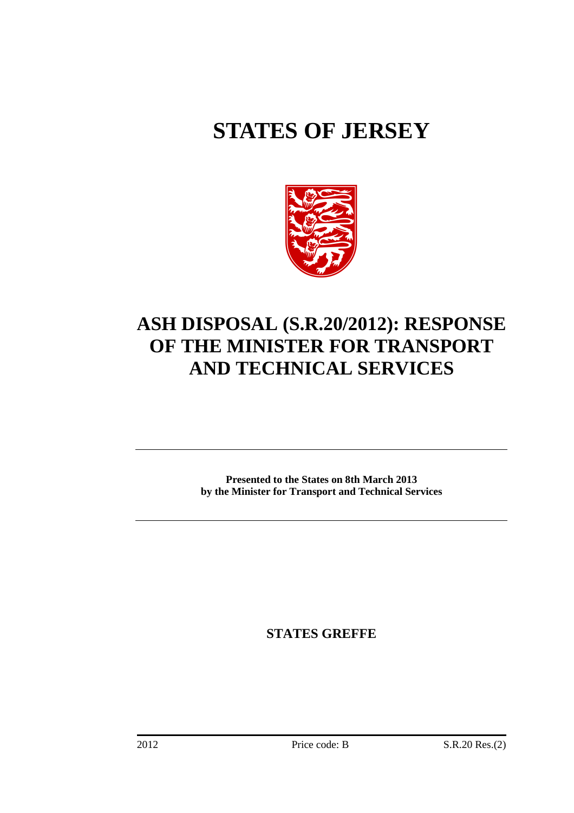# **STATES OF JERSEY**



## **ASH DISPOSAL (S.R.20/2012): RESPONSE OF THE MINISTER FOR TRANSPORT AND TECHNICAL SERVICES**

**Presented to the States on 8th March 2013 by the Minister for Transport and Technical Services** 

**STATES GREFFE**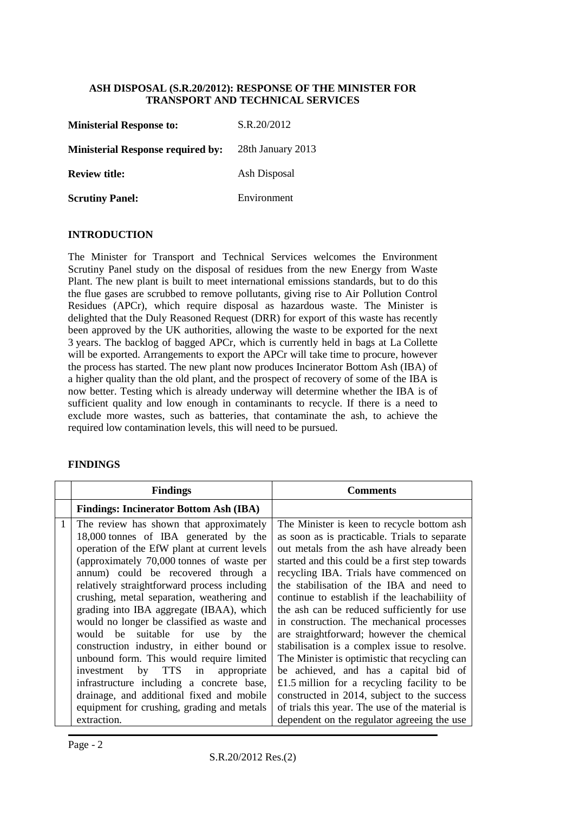#### **ASH DISPOSAL (S.R.20/2012): RESPONSE OF THE MINISTER FOR TRANSPORT AND TECHNICAL SERVICES**

| <b>Ministerial Response to:</b>          | S.R.20/2012       |
|------------------------------------------|-------------------|
| <b>Ministerial Response required by:</b> | 28th January 2013 |
| <b>Review title:</b>                     | Ash Disposal      |
| <b>Scrutiny Panel:</b>                   | Environment       |

#### **INTRODUCTION**

The Minister for Transport and Technical Services welcomes the Environment Scrutiny Panel study on the disposal of residues from the new Energy from Waste Plant. The new plant is built to meet international emissions standards, but to do this the flue gases are scrubbed to remove pollutants, giving rise to Air Pollution Control Residues (APCr), which require disposal as hazardous waste. The Minister is delighted that the Duly Reasoned Request (DRR) for export of this waste has recently been approved by the UK authorities, allowing the waste to be exported for the next 3 years. The backlog of bagged APCr, which is currently held in bags at La Collette will be exported. Arrangements to export the APCr will take time to procure, however the process has started. The new plant now produces Incinerator Bottom Ash (IBA) of a higher quality than the old plant, and the prospect of recovery of some of the IBA is now better. Testing which is already underway will determine whether the IBA is of sufficient quality and low enough in contaminants to recycle. If there is a need to exclude more wastes, such as batteries, that contaminate the ash, to achieve the required low contamination levels, this will need to be pursued.

#### **FINDINGS**

| <b>Findings</b>                                                                                                                                                                                                                                                                                                                                                                                                                                                                                                                                                                                                                                                                                                                                     | <b>Comments</b>                                                                                                                                                                                                                                                                                                                                                                                                                                                                                                                                                                                                                                                                                                                                                                                                        |
|-----------------------------------------------------------------------------------------------------------------------------------------------------------------------------------------------------------------------------------------------------------------------------------------------------------------------------------------------------------------------------------------------------------------------------------------------------------------------------------------------------------------------------------------------------------------------------------------------------------------------------------------------------------------------------------------------------------------------------------------------------|------------------------------------------------------------------------------------------------------------------------------------------------------------------------------------------------------------------------------------------------------------------------------------------------------------------------------------------------------------------------------------------------------------------------------------------------------------------------------------------------------------------------------------------------------------------------------------------------------------------------------------------------------------------------------------------------------------------------------------------------------------------------------------------------------------------------|
| <b>Findings: Incinerator Bottom Ash (IBA)</b>                                                                                                                                                                                                                                                                                                                                                                                                                                                                                                                                                                                                                                                                                                       |                                                                                                                                                                                                                                                                                                                                                                                                                                                                                                                                                                                                                                                                                                                                                                                                                        |
| The review has shown that approximately<br>18,000 tonnes of IBA generated by the<br>operation of the EfW plant at current levels<br>(approximately 70,000 tonnes of waste per<br>annum) could be recovered through a<br>relatively straightforward process including<br>crushing, metal separation, weathering and<br>grading into IBA aggregate (IBAA), which<br>would no longer be classified as waste and<br>would be suitable for use<br>by<br>the<br>construction industry, in either bound or<br>unbound form. This would require limited<br>by TTS<br>in<br>appropriate<br>investment<br>infrastructure including a concrete base,<br>drainage, and additional fixed and mobile<br>equipment for crushing, grading and metals<br>extraction. | The Minister is keen to recycle bottom ash.<br>as soon as is practicable. Trials to separate<br>out metals from the ash have already been<br>started and this could be a first step towards<br>recycling IBA. Trials have commenced on<br>the stabilisation of the IBA and need to<br>continue to establish if the leachabiliity of<br>the ash can be reduced sufficiently for use<br>in construction. The mechanical processes<br>are straightforward; however the chemical<br>stabilisation is a complex issue to resolve.<br>The Minister is optimistic that recycling can<br>be achieved, and has a capital bid of<br>£1.5 million for a recycling facility to be<br>constructed in 2014, subject to the success<br>of trials this year. The use of the material is<br>dependent on the regulator agreeing the use |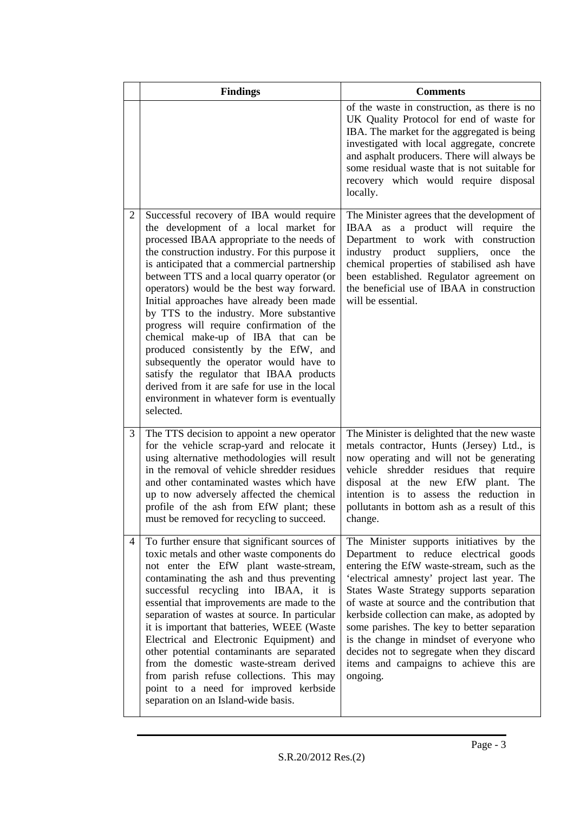|   | <b>Findings</b>                                                                                                                                                                                                                                                                                                                                                                                                                                                                                                                                                                                                                                                                                                                                        | <b>Comments</b>                                                                                                                                                                                                                                                                                                                                                                                                                                                                                                            |
|---|--------------------------------------------------------------------------------------------------------------------------------------------------------------------------------------------------------------------------------------------------------------------------------------------------------------------------------------------------------------------------------------------------------------------------------------------------------------------------------------------------------------------------------------------------------------------------------------------------------------------------------------------------------------------------------------------------------------------------------------------------------|----------------------------------------------------------------------------------------------------------------------------------------------------------------------------------------------------------------------------------------------------------------------------------------------------------------------------------------------------------------------------------------------------------------------------------------------------------------------------------------------------------------------------|
|   |                                                                                                                                                                                                                                                                                                                                                                                                                                                                                                                                                                                                                                                                                                                                                        | of the waste in construction, as there is no<br>UK Quality Protocol for end of waste for<br>IBA. The market for the aggregated is being<br>investigated with local aggregate, concrete<br>and asphalt producers. There will always be<br>some residual waste that is not suitable for<br>recovery which would require disposal<br>locally.                                                                                                                                                                                 |
| 2 | Successful recovery of IBA would require<br>the development of a local market for<br>processed IBAA appropriate to the needs of<br>the construction industry. For this purpose it<br>is anticipated that a commercial partnership<br>between TTS and a local quarry operator (or<br>operators) would be the best way forward.<br>Initial approaches have already been made<br>by TTS to the industry. More substantive<br>progress will require confirmation of the<br>chemical make-up of IBA that can be<br>produced consistently by the EfW, and<br>subsequently the operator would have to<br>satisfy the regulator that IBAA products<br>derived from it are safe for use in the local<br>environment in whatever form is eventually<br>selected. | The Minister agrees that the development of<br>IBAA as a product will require the<br>Department to work with construction<br>industry product suppliers,<br>once<br>the<br>chemical properties of stabilised ash have<br>been established. Regulator agreement on<br>the beneficial use of IBAA in construction<br>will be essential.                                                                                                                                                                                      |
| 3 | The TTS decision to appoint a new operator<br>for the vehicle scrap-yard and relocate it<br>using alternative methodologies will result<br>in the removal of vehicle shredder residues<br>and other contaminated wastes which have<br>up to now adversely affected the chemical<br>profile of the ash from EfW plant; these<br>must be removed for recycling to succeed.                                                                                                                                                                                                                                                                                                                                                                               | The Minister is delighted that the new waste<br>metals contractor, Hunts (Jersey) Ltd., is<br>now operating and will not be generating<br>vehicle shredder residues that require<br>disposal at the new EfW plant. The<br>intention is to assess the reduction in<br>pollutants in bottom ash as a result of this<br>change.                                                                                                                                                                                               |
| 4 | To further ensure that significant sources of<br>toxic metals and other waste components do<br>not enter the EfW plant waste-stream,<br>contaminating the ash and thus preventing<br>successful recycling into IBAA, it is<br>essential that improvements are made to the<br>separation of wastes at source. In particular<br>it is important that batteries, WEEE (Waste<br>Electrical and Electronic Equipment) and<br>other potential contaminants are separated<br>from the domestic waste-stream derived<br>from parish refuse collections. This may<br>point to a need for improved kerbside<br>separation on an Island-wide basis.                                                                                                              | The Minister supports initiatives by the<br>Department to reduce electrical goods<br>entering the EfW waste-stream, such as the<br>'electrical amnesty' project last year. The<br>States Waste Strategy supports separation<br>of waste at source and the contribution that<br>kerbside collection can make, as adopted by<br>some parishes. The key to better separation<br>is the change in mindset of everyone who<br>decides not to segregate when they discard<br>items and campaigns to achieve this are<br>ongoing. |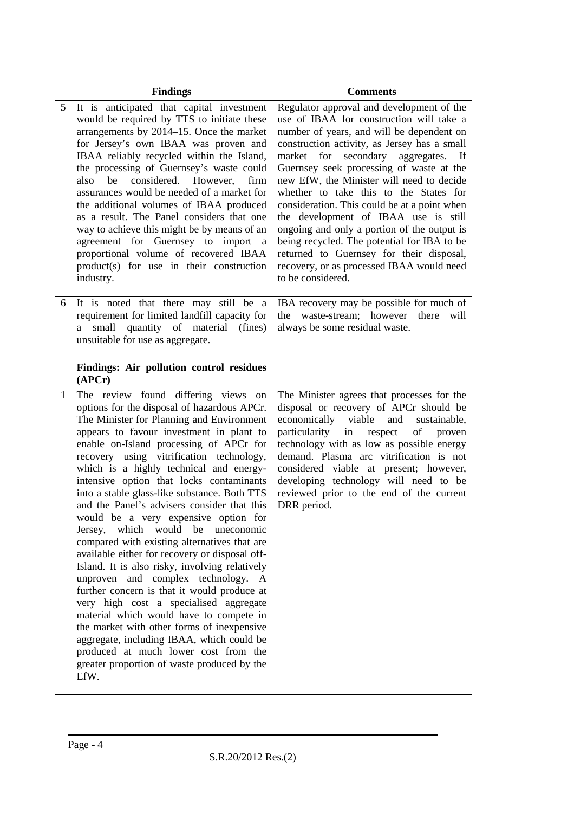|              | <b>Findings</b>                                                                                                                                                                                                                                                                                                                                                                                                                                                                                                                                                                                                                                                                                                                                                                                                                                                                                                                                                                                                                                                     | <b>Comments</b>                                                                                                                                                                                                                                                                                                                                                                                                                                                                                                                                                                                                                                                                  |
|--------------|---------------------------------------------------------------------------------------------------------------------------------------------------------------------------------------------------------------------------------------------------------------------------------------------------------------------------------------------------------------------------------------------------------------------------------------------------------------------------------------------------------------------------------------------------------------------------------------------------------------------------------------------------------------------------------------------------------------------------------------------------------------------------------------------------------------------------------------------------------------------------------------------------------------------------------------------------------------------------------------------------------------------------------------------------------------------|----------------------------------------------------------------------------------------------------------------------------------------------------------------------------------------------------------------------------------------------------------------------------------------------------------------------------------------------------------------------------------------------------------------------------------------------------------------------------------------------------------------------------------------------------------------------------------------------------------------------------------------------------------------------------------|
| 5            | It is anticipated that capital investment<br>would be required by TTS to initiate these<br>arrangements by 2014–15. Once the market<br>for Jersey's own IBAA was proven and<br>IBAA reliably recycled within the Island,<br>the processing of Guernsey's waste could<br>considered. However,<br>be<br>also<br>firm<br>assurances would be needed of a market for<br>the additional volumes of IBAA produced<br>as a result. The Panel considers that one<br>way to achieve this might be by means of an<br>agreement for Guernsey to import a<br>proportional volume of recovered IBAA<br>product(s) for use in their construction<br>industry.                                                                                                                                                                                                                                                                                                                                                                                                                     | Regulator approval and development of the<br>use of IBAA for construction will take a<br>number of years, and will be dependent on<br>construction activity, as Jersey has a small<br>for secondary aggregates.<br>market<br>$\mathbf{H}$<br>Guernsey seek processing of waste at the<br>new EfW, the Minister will need to decide<br>whether to take this to the States for<br>consideration. This could be at a point when<br>the development of IBAA use is still<br>ongoing and only a portion of the output is<br>being recycled. The potential for IBA to be<br>returned to Guernsey for their disposal,<br>recovery, or as processed IBAA would need<br>to be considered. |
| 6            | It is noted that there may still be a<br>requirement for limited landfill capacity for<br>a small quantity of material (fines)<br>unsuitable for use as aggregate.                                                                                                                                                                                                                                                                                                                                                                                                                                                                                                                                                                                                                                                                                                                                                                                                                                                                                                  | IBA recovery may be possible for much of<br>waste-stream; however there will<br>the<br>always be some residual waste.                                                                                                                                                                                                                                                                                                                                                                                                                                                                                                                                                            |
|              | Findings: Air pollution control residues<br>(APCr)                                                                                                                                                                                                                                                                                                                                                                                                                                                                                                                                                                                                                                                                                                                                                                                                                                                                                                                                                                                                                  |                                                                                                                                                                                                                                                                                                                                                                                                                                                                                                                                                                                                                                                                                  |
| $\mathbf{1}$ | The review found differing views<br>on<br>options for the disposal of hazardous APCr.<br>The Minister for Planning and Environment<br>appears to favour investment in plant to<br>enable on-Island processing of APCr for<br>recovery using vitrification technology,<br>which is a highly technical and energy-<br>intensive option that locks contaminants<br>into a stable glass-like substance. Both TTS<br>and the Panel's advisers consider that this<br>would be a very expensive option for<br>Jersey, which would be<br>uneconomic<br>compared with existing alternatives that are<br>available either for recovery or disposal off-<br>Island. It is also risky, involving relatively<br>unproven and complex technology. A<br>further concern is that it would produce at<br>very high cost a specialised aggregate<br>material which would have to compete in<br>the market with other forms of inexpensive<br>aggregate, including IBAA, which could be<br>produced at much lower cost from the<br>greater proportion of waste produced by the<br>EfW. | The Minister agrees that processes for the<br>disposal or recovery of APCr should be<br>economically viable<br>and<br>sustainable,<br>particularity in respect<br>of proven<br>technology with as low as possible energy<br>demand. Plasma arc vitrification is not<br>considered viable at present; however,<br>developing technology will need to be<br>reviewed prior to the end of the current<br>DRR period.                                                                                                                                                                                                                                                                |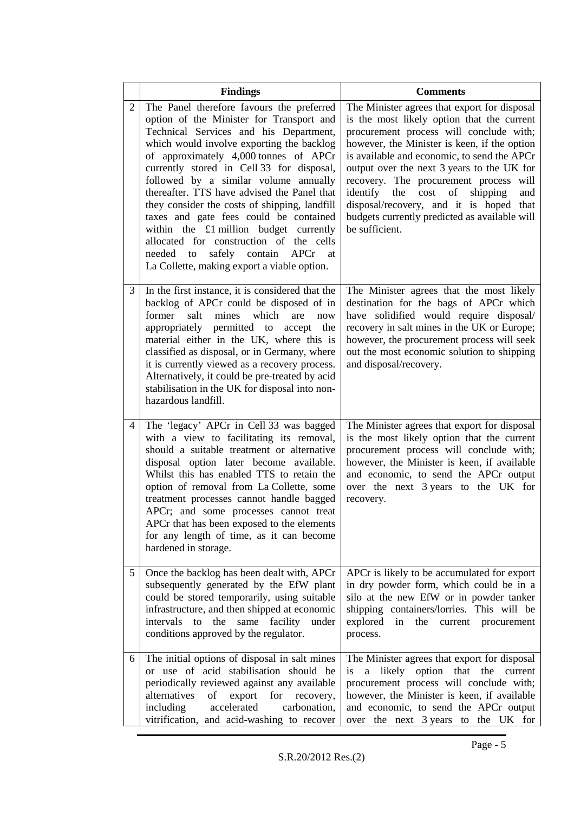|                | <b>Findings</b>                                                                                                                                                                                                                                                                                                                                                                                                                                                                                                                                                                                                                     | <b>Comments</b>                                                                                                                                                                                                                                                                                                                                                                                                                                                                                   |
|----------------|-------------------------------------------------------------------------------------------------------------------------------------------------------------------------------------------------------------------------------------------------------------------------------------------------------------------------------------------------------------------------------------------------------------------------------------------------------------------------------------------------------------------------------------------------------------------------------------------------------------------------------------|---------------------------------------------------------------------------------------------------------------------------------------------------------------------------------------------------------------------------------------------------------------------------------------------------------------------------------------------------------------------------------------------------------------------------------------------------------------------------------------------------|
| $\overline{2}$ | The Panel therefore favours the preferred<br>option of the Minister for Transport and<br>Technical Services and his Department,<br>which would involve exporting the backlog<br>of approximately 4,000 tonnes of APCr<br>currently stored in Cell 33 for disposal,<br>followed by a similar volume annually<br>thereafter. TTS have advised the Panel that<br>they consider the costs of shipping, landfill<br>taxes and gate fees could be contained<br>within the £1 million budget currently<br>allocated for construction of the cells<br>safely contain APCr<br>needed to<br>at<br>La Collette, making export a viable option. | The Minister agrees that export for disposal<br>is the most likely option that the current<br>procurement process will conclude with;<br>however, the Minister is keen, if the option<br>is available and economic, to send the APCr<br>output over the next 3 years to the UK for<br>recovery. The procurement process will<br>cost<br>shipping<br>identify the<br>$\sigma$<br>and<br>disposal/recovery, and it is hoped that<br>budgets currently predicted as available will<br>be sufficient. |
| 3              | In the first instance, it is considered that the<br>backlog of APCr could be disposed of in<br>former<br>mines<br>which<br>salt<br>are<br>now<br>appropriately permitted to accept<br>the<br>material either in the UK, where this is<br>classified as disposal, or in Germany, where<br>it is currently viewed as a recovery process.<br>Alternatively, it could be pre-treated by acid<br>stabilisation in the UK for disposal into non-<br>hazardous landfill.                                                                                                                                                                   | The Minister agrees that the most likely<br>destination for the bags of APCr which<br>have solidified would require disposal/<br>recovery in salt mines in the UK or Europe;<br>however, the procurement process will seek<br>out the most economic solution to shipping<br>and disposal/recovery.                                                                                                                                                                                                |
| 4              | The 'legacy' APCr in Cell 33 was bagged<br>with a view to facilitating its removal,<br>should a suitable treatment or alternative<br>disposal option later become available.<br>Whilst this has enabled TTS to retain the<br>option of removal from La Collette, some<br>treatment processes cannot handle bagged<br>APCr; and some processes cannot treat<br>APCr that has been exposed to the elements<br>for any length of time, as it can become<br>hardened in storage.                                                                                                                                                        | The Minister agrees that export for disposal<br>is the most likely option that the current<br>procurement process will conclude with;<br>however, the Minister is keen, if available<br>and economic, to send the APCr output<br>over the next 3 years to the UK for<br>recovery.                                                                                                                                                                                                                 |
| 5              | Once the backlog has been dealt with, APCr<br>subsequently generated by the EfW plant<br>could be stored temporarily, using suitable<br>infrastructure, and then shipped at economic<br>to the<br>intervals<br>same facility<br>under<br>conditions approved by the regulator.                                                                                                                                                                                                                                                                                                                                                      | APCr is likely to be accumulated for export<br>in dry powder form, which could be in a<br>silo at the new EfW or in powder tanker<br>shipping containers/lorries. This will be<br>explored in<br>the current procurement<br>process.                                                                                                                                                                                                                                                              |
| 6              | The initial options of disposal in salt mines<br>or use of acid stabilisation should be<br>periodically reviewed against any available<br>alternatives<br>export<br>for recovery,<br>of<br>accelerated<br>including<br>carbonation,<br>vitrification, and acid-washing to recover                                                                                                                                                                                                                                                                                                                                                   | The Minister agrees that export for disposal<br>a likely option that the current<br>is<br>procurement process will conclude with;<br>however, the Minister is keen, if available<br>and economic, to send the APCr output<br>over the next 3 years to the UK for                                                                                                                                                                                                                                  |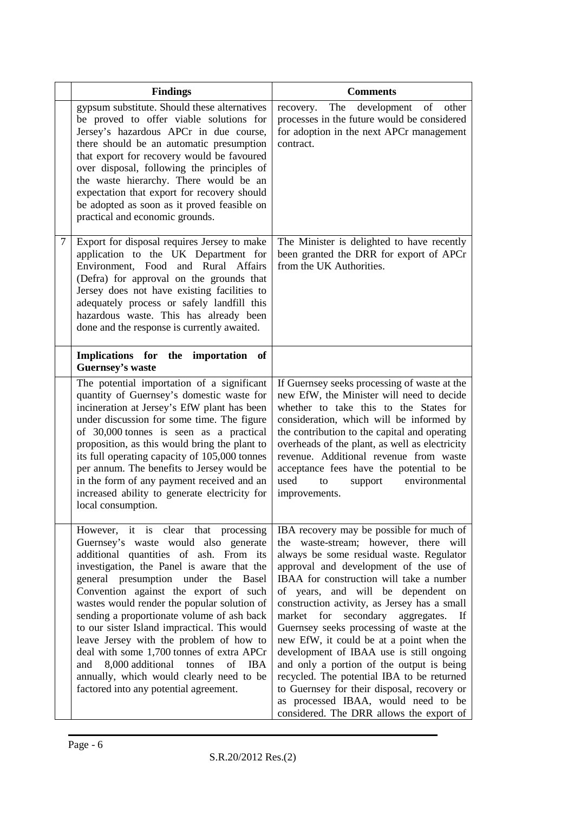|   | <b>Findings</b>                                                                                                                                                                                                                                                                                                                                                                                                                                                                                                                                                                                                                          | <b>Comments</b>                                                                                                                                                                                                                                                                                                                                                                                                                                                                                                                                                                                                                                                                                                              |
|---|------------------------------------------------------------------------------------------------------------------------------------------------------------------------------------------------------------------------------------------------------------------------------------------------------------------------------------------------------------------------------------------------------------------------------------------------------------------------------------------------------------------------------------------------------------------------------------------------------------------------------------------|------------------------------------------------------------------------------------------------------------------------------------------------------------------------------------------------------------------------------------------------------------------------------------------------------------------------------------------------------------------------------------------------------------------------------------------------------------------------------------------------------------------------------------------------------------------------------------------------------------------------------------------------------------------------------------------------------------------------------|
|   | gypsum substitute. Should these alternatives<br>be proved to offer viable solutions for<br>Jersey's hazardous APCr in due course,<br>there should be an automatic presumption<br>that export for recovery would be favoured<br>over disposal, following the principles of<br>the waste hierarchy. There would be an<br>expectation that export for recovery should<br>be adopted as soon as it proved feasible on<br>practical and economic grounds.                                                                                                                                                                                     | The<br>development of other<br>recovery.<br>processes in the future would be considered<br>for adoption in the next APCr management<br>contract.                                                                                                                                                                                                                                                                                                                                                                                                                                                                                                                                                                             |
| 7 | Export for disposal requires Jersey to make<br>application to the UK Department for<br>Environment, Food and Rural Affairs<br>(Defra) for approval on the grounds that<br>Jersey does not have existing facilities to<br>adequately process or safely landfill this<br>hazardous waste. This has already been<br>done and the response is currently awaited.                                                                                                                                                                                                                                                                             | The Minister is delighted to have recently<br>been granted the DRR for export of APCr<br>from the UK Authorities.                                                                                                                                                                                                                                                                                                                                                                                                                                                                                                                                                                                                            |
|   | Implications for the importation<br>of<br><b>Guernsey's waste</b>                                                                                                                                                                                                                                                                                                                                                                                                                                                                                                                                                                        |                                                                                                                                                                                                                                                                                                                                                                                                                                                                                                                                                                                                                                                                                                                              |
|   | The potential importation of a significant<br>quantity of Guernsey's domestic waste for<br>incineration at Jersey's EfW plant has been<br>under discussion for some time. The figure<br>of 30,000 tonnes is seen as a practical<br>proposition, as this would bring the plant to<br>its full operating capacity of 105,000 tonnes<br>per annum. The benefits to Jersey would be<br>in the form of any payment received and an<br>increased ability to generate electricity for<br>local consumption.                                                                                                                                     | If Guernsey seeks processing of waste at the<br>new EfW, the Minister will need to decide<br>whether to take this to the States for<br>consideration, which will be informed by<br>the contribution to the capital and operating<br>overheads of the plant, as well as electricity<br>revenue. Additional revenue from waste<br>acceptance fees have the potential to be<br>used<br>to<br>support<br>environmental<br>improvements.                                                                                                                                                                                                                                                                                          |
|   | However, it is clear that processing<br>Guernsey's waste would also generate<br>additional quantities of ash. From its<br>investigation, the Panel is aware that the<br>general presumption under the Basel<br>Convention against the export of such<br>wastes would render the popular solution of<br>sending a proportionate volume of ash back<br>to our sister Island impractical. This would<br>leave Jersey with the problem of how to<br>deal with some 1,700 tonnes of extra APCr<br>8,000 additional<br>tonnes<br>of<br>and<br><b>IBA</b><br>annually, which would clearly need to be<br>factored into any potential agreement. | IBA recovery may be possible for much of<br>the waste-stream; however, there will<br>always be some residual waste. Regulator<br>approval and development of the use of<br>IBAA for construction will take a number<br>of years, and will be dependent on<br>construction activity, as Jersey has a small<br>secondary<br>market for<br>aggregates.<br>-If<br>Guernsey seeks processing of waste at the<br>new EfW, it could be at a point when the<br>development of IBAA use is still ongoing<br>and only a portion of the output is being<br>recycled. The potential IBA to be returned<br>to Guernsey for their disposal, recovery or<br>as processed IBAA, would need to be<br>considered. The DRR allows the export of |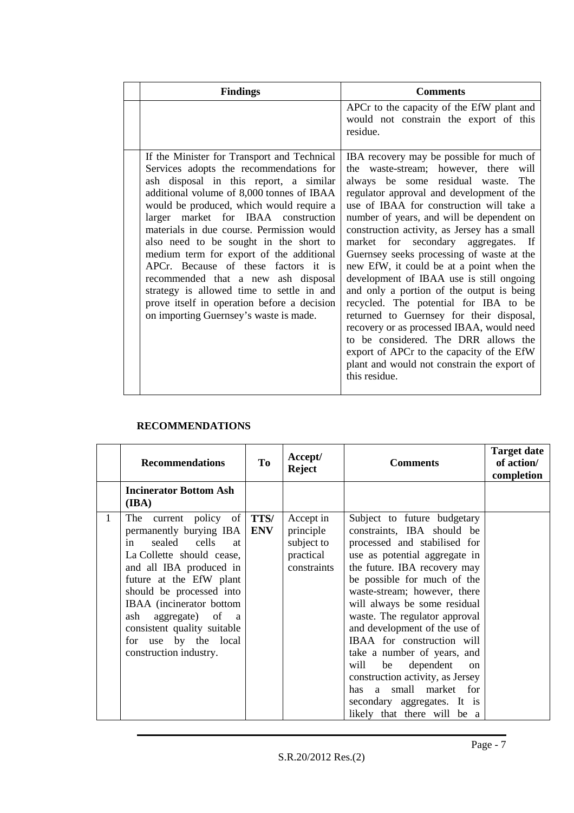| <b>Findings</b>                                                                                                                                                                                                                                                                                                                                                                                                                                                                                                                                                                                                          | <b>Comments</b>                                                                                                                                                                                                                                                                                                                                                                                                                                                                                                                                                                                                                                                                                                                                                                                                                  |
|--------------------------------------------------------------------------------------------------------------------------------------------------------------------------------------------------------------------------------------------------------------------------------------------------------------------------------------------------------------------------------------------------------------------------------------------------------------------------------------------------------------------------------------------------------------------------------------------------------------------------|----------------------------------------------------------------------------------------------------------------------------------------------------------------------------------------------------------------------------------------------------------------------------------------------------------------------------------------------------------------------------------------------------------------------------------------------------------------------------------------------------------------------------------------------------------------------------------------------------------------------------------------------------------------------------------------------------------------------------------------------------------------------------------------------------------------------------------|
|                                                                                                                                                                                                                                                                                                                                                                                                                                                                                                                                                                                                                          | APCr to the capacity of the EfW plant and<br>would not constrain the export of this<br>residue.                                                                                                                                                                                                                                                                                                                                                                                                                                                                                                                                                                                                                                                                                                                                  |
| If the Minister for Transport and Technical<br>Services adopts the recommendations for<br>ash disposal in this report, a similar<br>additional volume of 8,000 tonnes of IBAA<br>would be produced, which would require a<br>larger market for IBAA construction<br>materials in due course. Permission would<br>also need to be sought in the short to<br>medium term for export of the additional<br>APCr. Because of these factors it is<br>recommended that a new ash disposal<br>strategy is allowed time to settle in and<br>prove itself in operation before a decision<br>on importing Guernsey's waste is made. | IBA recovery may be possible for much of<br>the waste-stream; however, there<br>will<br>always be some residual waste. The<br>regulator approval and development of the<br>use of IBAA for construction will take a<br>number of years, and will be dependent on<br>construction activity, as Jersey has a small<br>market for secondary aggregates. If<br>Guernsey seeks processing of waste at the<br>new EfW, it could be at a point when the<br>development of IBAA use is still ongoing<br>and only a portion of the output is being<br>recycled. The potential for IBA to be<br>returned to Guernsey for their disposal,<br>recovery or as processed IBAA, would need<br>to be considered. The DRR allows the<br>export of APCr to the capacity of the EfW<br>plant and would not constrain the export of<br>this residue. |

### **RECOMMENDATIONS**

|   | <b>Recommendations</b>                                                                                                                                                                                                                                                                                                                                        | <b>To</b>  | Accept/<br><b>Reject</b>                                         | <b>Comments</b>                                                                                                                                                                                                                                                                                                                                                                                                                                                                                                                                                  | <b>Target date</b><br>of action/<br>completion |
|---|---------------------------------------------------------------------------------------------------------------------------------------------------------------------------------------------------------------------------------------------------------------------------------------------------------------------------------------------------------------|------------|------------------------------------------------------------------|------------------------------------------------------------------------------------------------------------------------------------------------------------------------------------------------------------------------------------------------------------------------------------------------------------------------------------------------------------------------------------------------------------------------------------------------------------------------------------------------------------------------------------------------------------------|------------------------------------------------|
|   | <b>Incinerator Bottom Ash</b><br>(IBA)                                                                                                                                                                                                                                                                                                                        |            |                                                                  |                                                                                                                                                                                                                                                                                                                                                                                                                                                                                                                                                                  |                                                |
| 1 | current policy of <b>TTS</b> /<br>The<br>permanently burying IBA<br>in<br>sealed cells<br>at<br>La Collette should cease,<br>and all IBA produced in<br>future at the EfW plant<br>should be processed into<br>IBAA (incinerator bottom<br>ash aggregate) of<br><sub>a</sub><br>consistent quality suitable<br>for use by the local<br>construction industry. | <b>ENV</b> | Accept in<br>principle<br>subject to<br>practical<br>constraints | Subject to future budgetary<br>constraints, IBA should be<br>processed and stabilised for<br>use as potential aggregate in<br>the future. IBA recovery may<br>be possible for much of the<br>waste-stream; however, there<br>will always be some residual<br>waste. The regulator approval<br>and development of the use of<br>IBAA for construction will<br>take a number of years, and<br>will<br>dependent<br>be<br><sub>on</sub><br>construction activity, as Jersey<br>has a small market for<br>secondary aggregates. It is<br>likely that there will be a |                                                |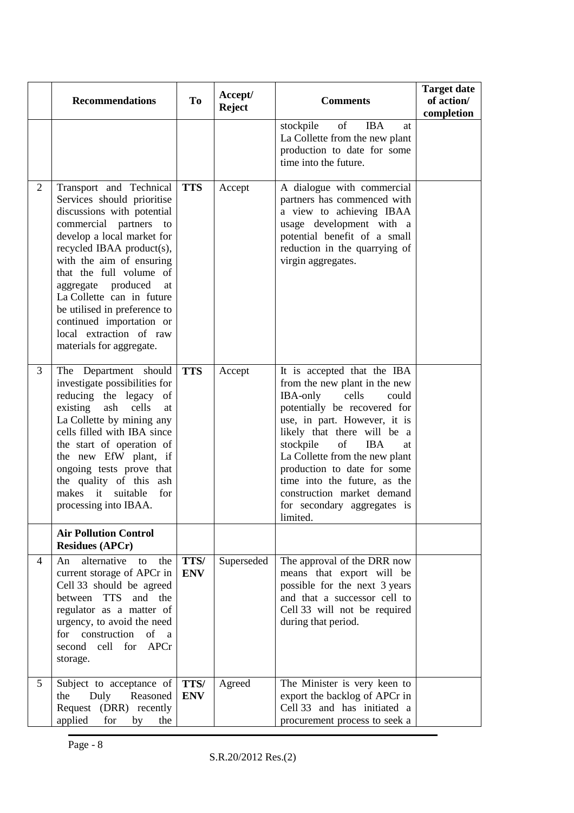|                | <b>Recommendations</b>                                                                                                                                                                                                                                                                                                                                                                                      | <b>To</b>          | Accept/<br><b>Reject</b> | <b>Comments</b>                                                                                                                                                                                                                                                                                                                                                                                            | <b>Target date</b><br>of action/<br>completion |
|----------------|-------------------------------------------------------------------------------------------------------------------------------------------------------------------------------------------------------------------------------------------------------------------------------------------------------------------------------------------------------------------------------------------------------------|--------------------|--------------------------|------------------------------------------------------------------------------------------------------------------------------------------------------------------------------------------------------------------------------------------------------------------------------------------------------------------------------------------------------------------------------------------------------------|------------------------------------------------|
|                |                                                                                                                                                                                                                                                                                                                                                                                                             |                    |                          | stockpile<br>$% \left( \left( \mathcal{A},\mathcal{A}\right) \right) =\left( \mathcal{A},\mathcal{A}\right)$ of<br><b>IBA</b><br>at<br>La Collette from the new plant<br>production to date for some<br>time into the future.                                                                                                                                                                              |                                                |
| 2              | Transport and Technical<br>Services should prioritise<br>discussions with potential<br>commercial partners to<br>develop a local market for<br>recycled IBAA product(s),<br>with the aim of ensuring<br>that the full volume of<br>aggregate produced<br>at<br>La Collette can in future<br>be utilised in preference to<br>continued importation or<br>local extraction of raw<br>materials for aggregate. | <b>TTS</b>         | Accept                   | A dialogue with commercial<br>partners has commenced with<br>a view to achieving IBAA<br>usage development with a<br>potential benefit of a small<br>reduction in the quarrying of<br>virgin aggregates.                                                                                                                                                                                                   |                                                |
| 3              | The Department should<br>investigate possibilities for<br>reducing the legacy of<br>existing<br>ash<br>cells<br>at<br>La Collette by mining any<br>cells filled with IBA since<br>the start of operation of<br>the new EfW plant, if<br>ongoing tests prove that<br>the quality of this ash<br>makes it<br>suitable<br>for<br>processing into IBAA.                                                         | <b>TTS</b>         | Accept                   | It is accepted that the IBA<br>from the new plant in the new<br>IBA-only<br>cells<br>could<br>potentially be recovered for<br>use, in part. However, it is<br>likely that there will be a<br>stockpile<br>of<br><b>IBA</b><br>at<br>La Collette from the new plant<br>production to date for some<br>time into the future, as the<br>construction market demand<br>for secondary aggregates is<br>limited. |                                                |
|                | <b>Air Pollution Control</b><br><b>Residues (APCr)</b>                                                                                                                                                                                                                                                                                                                                                      |                    |                          |                                                                                                                                                                                                                                                                                                                                                                                                            |                                                |
| $\overline{4}$ | alternative<br>the<br>An<br>to<br>current storage of APCr in<br>Cell 33 should be agreed<br>and the<br>between TTS<br>regulator as a matter of<br>urgency, to avoid the need<br>for construction<br>of a<br>second cell for APCr<br>storage.                                                                                                                                                                | TTS/<br><b>ENV</b> | Superseded               | The approval of the DRR now<br>means that export will be<br>possible for the next 3 years<br>and that a successor cell to<br>Cell 33 will not be required<br>during that period.                                                                                                                                                                                                                           |                                                |
| 5              | Subject to acceptance of<br>Duly<br>Reasoned<br>the<br>Request (DRR) recently<br>applied<br>for<br>by<br>the                                                                                                                                                                                                                                                                                                | TTS/<br><b>ENV</b> | Agreed                   | The Minister is very keen to<br>export the backlog of APCr in<br>Cell 33 and has initiated a<br>procurement process to seek a                                                                                                                                                                                                                                                                              |                                                |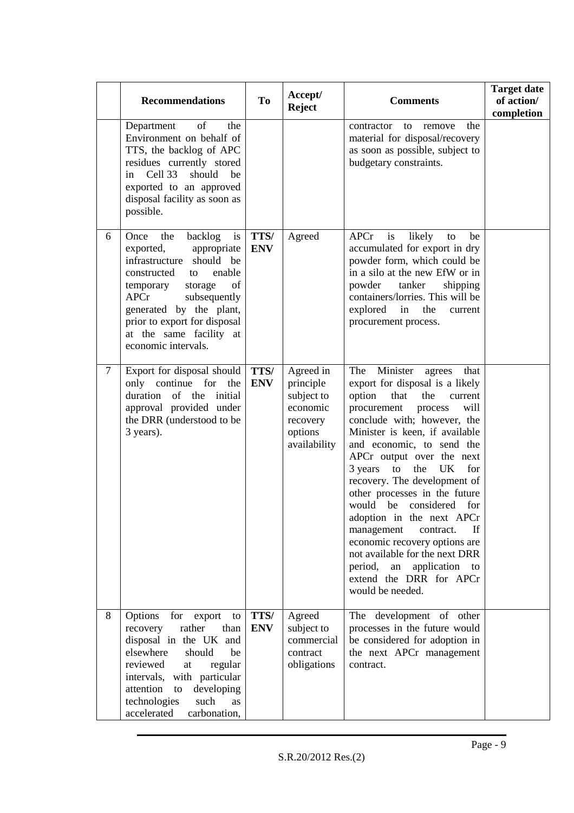|        | <b>Recommendations</b>                                                                                                                                                                                                                                                                           | To                 | Accept/<br><b>Reject</b>                                                                | <b>Comments</b>                                                                                                                                                                                                                                                                                                                                                                                                                                                                                                                                                                                                                                | <b>Target date</b><br>of action/<br>completion |
|--------|--------------------------------------------------------------------------------------------------------------------------------------------------------------------------------------------------------------------------------------------------------------------------------------------------|--------------------|-----------------------------------------------------------------------------------------|------------------------------------------------------------------------------------------------------------------------------------------------------------------------------------------------------------------------------------------------------------------------------------------------------------------------------------------------------------------------------------------------------------------------------------------------------------------------------------------------------------------------------------------------------------------------------------------------------------------------------------------------|------------------------------------------------|
|        | of<br>the<br>Department<br>Environment on behalf of<br>TTS, the backlog of APC<br>residues currently stored<br>Cell 33<br>should<br>be<br>in<br>exported to an approved<br>disposal facility as soon as<br>possible.                                                                             |                    |                                                                                         | the<br>contractor<br>to<br>remove<br>material for disposal/recovery<br>as soon as possible, subject to<br>budgetary constraints.                                                                                                                                                                                                                                                                                                                                                                                                                                                                                                               |                                                |
| 6      | Once<br>backlog<br>the<br>is<br>appropriate<br>exported,<br>infrastructure<br>should be<br>enable<br>constructed<br>to<br>temporary<br>storage<br>of<br>subsequently<br><b>APCr</b><br>generated by the plant,<br>prior to export for disposal<br>at the same facility at<br>economic intervals. | TTS/<br><b>ENV</b> | Agreed                                                                                  | <b>APCr</b><br>likely<br>is<br>be<br>to<br>accumulated for export in dry<br>powder form, which could be<br>in a silo at the new EfW or in<br>powder<br>tanker<br>shipping<br>containers/lorries. This will be<br>explored<br>in<br>the<br>current<br>procurement process.                                                                                                                                                                                                                                                                                                                                                                      |                                                |
| $\tau$ | Export for disposal should<br>only continue for<br>the<br>duration of the<br>initial<br>approval provided under<br>the DRR (understood to be<br>3 years).                                                                                                                                        | TTS/<br><b>ENV</b> | Agreed in<br>principle<br>subject to<br>economic<br>recovery<br>options<br>availability | Minister<br>The<br>agrees<br>that<br>export for disposal is a likely<br>option<br>that<br>the<br>current<br>procurement<br>will<br>process<br>conclude with; however, the<br>Minister is keen, if available<br>and economic, to send the<br>APCr output over the next<br>3 years<br>to<br>the<br><b>UK</b><br>for<br>recovery. The development of<br>other processes in the future<br>would be<br>considered<br>for<br>adoption in the next APCr<br>If<br>management<br>contract.<br>economic recovery options are<br>not available for the next DRR<br>period,<br>application to<br>${\rm an}$<br>extend the DRR for APCr<br>would be needed. |                                                |
| 8      | Options<br>for export<br>to<br>recovery<br>rather<br>than<br>disposal in the UK and<br>elsewhere<br>should<br>be<br>reviewed<br>regular<br>at<br>intervals, with particular<br>attention<br>developing<br>to<br>technologies<br>such<br><b>as</b><br>accelerated<br>carbonation,                 | TTS/<br><b>ENV</b> | Agreed<br>subject to<br>commercial<br>contract<br>obligations                           | The development of other<br>processes in the future would<br>be considered for adoption in<br>the next APCr management<br>contract.                                                                                                                                                                                                                                                                                                                                                                                                                                                                                                            |                                                |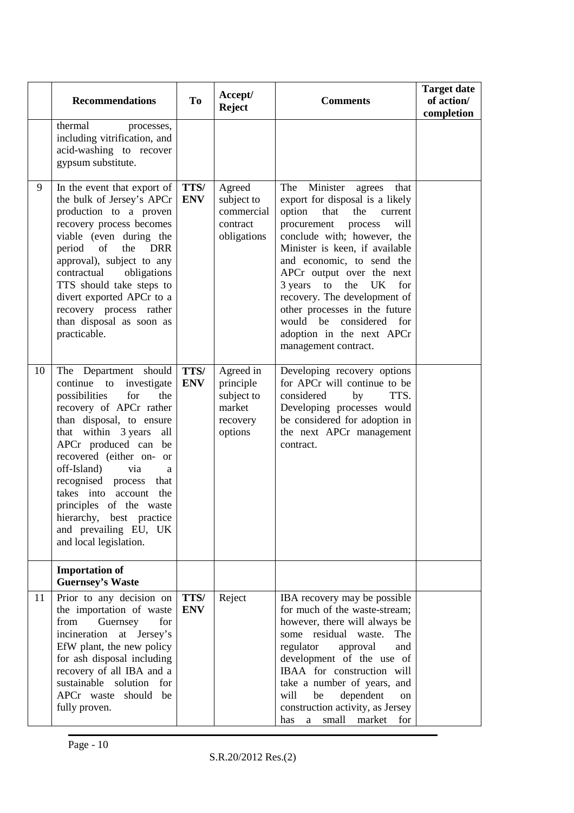|    | <b>Recommendations</b>                                                                                                                                                                                                                                                                                                                                                                                                      | <b>To</b>          | Accept/<br><b>Reject</b>                                              | <b>Comments</b>                                                                                                                                                                                                                                                                                                                                                                                                                                             | <b>Target date</b><br>of action/<br>completion |
|----|-----------------------------------------------------------------------------------------------------------------------------------------------------------------------------------------------------------------------------------------------------------------------------------------------------------------------------------------------------------------------------------------------------------------------------|--------------------|-----------------------------------------------------------------------|-------------------------------------------------------------------------------------------------------------------------------------------------------------------------------------------------------------------------------------------------------------------------------------------------------------------------------------------------------------------------------------------------------------------------------------------------------------|------------------------------------------------|
|    | thermal<br>processes,<br>including vitrification, and<br>acid-washing to recover<br>gypsum substitute.                                                                                                                                                                                                                                                                                                                      |                    |                                                                       |                                                                                                                                                                                                                                                                                                                                                                                                                                                             |                                                |
| 9  | In the event that export of<br>the bulk of Jersey's APCr<br>production to a proven<br>recovery process becomes<br>viable (even during the<br>period<br>of<br>the DRR<br>approval), subject to any<br>contractual<br>obligations<br>TTS should take steps to<br>divert exported APCr to a<br>recovery process rather<br>than disposal as soon as<br>practicable.                                                             | TTS/<br><b>ENV</b> | Agreed<br>subject to<br>commercial<br>contract<br>obligations         | Minister<br>The<br>that<br>agrees<br>export for disposal is a likely<br>option<br>that<br>the<br>current<br>procurement<br>process<br>will<br>conclude with; however, the<br>Minister is keen, if available<br>and economic, to send the<br>APCr output over the next<br>3 years<br>to<br>the<br>UK<br>for<br>recovery. The development of<br>other processes in the future<br>would be considered for<br>adoption in the next APCr<br>management contract. |                                                |
| 10 | Department should<br>The<br>continue to<br>investigate<br>possibilities<br>for<br>the<br>recovery of APCr rather<br>than disposal, to ensure<br>that within 3 years<br>all<br>APCr produced can be<br>recovered (either on- or<br>off-Island)<br>via<br>a<br>recognised process<br>that<br>takes into account the<br>principles of the waste<br>hierarchy, best practice<br>and prevailing EU, UK<br>and local legislation. | TTS/<br><b>ENV</b> | Agreed in<br>principle<br>subject to<br>market<br>recovery<br>options | Developing recovery options<br>for APCr will continue to be<br>considered<br>by<br>TTS.<br>Developing processes would<br>be considered for adoption in<br>the next APCr management<br>contract.                                                                                                                                                                                                                                                             |                                                |
|    | <b>Importation of</b><br><b>Guernsey's Waste</b>                                                                                                                                                                                                                                                                                                                                                                            |                    |                                                                       |                                                                                                                                                                                                                                                                                                                                                                                                                                                             |                                                |
| 11 | Prior to any decision on<br>the importation of waste<br>from<br>Guernsey<br>for<br>incineration<br>at Jersey's<br>EfW plant, the new policy<br>for ash disposal including<br>recovery of all IBA and a<br>sustainable<br>solution<br>for<br>should be<br>APCr waste<br>fully proven.                                                                                                                                        | TTS/<br><b>ENV</b> | Reject                                                                | IBA recovery may be possible<br>for much of the waste-stream;<br>however, there will always be<br>some residual waste.<br>The<br>regulator<br>approval<br>and<br>development of the use of<br>IBAA for construction will<br>take a number of years, and<br>will<br>dependent<br>be<br>on<br>construction activity, as Jersey<br>has a small market for                                                                                                      |                                                |